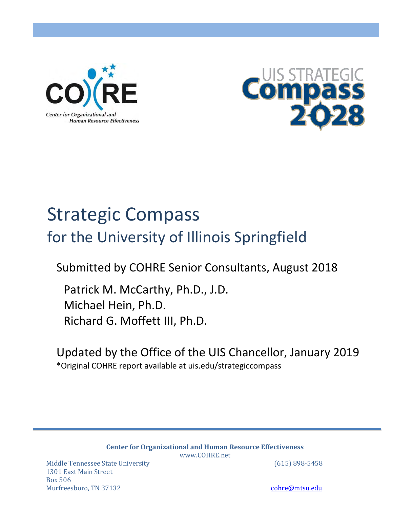



# Strategic Compass for the University of Illinois Springfield

Submitted by COHRE Senior Consultants, August 2018

Patrick M. McCarthy, Ph.D., J.D. Michael Hein, Ph.D. Richard G. Moffett III, Ph.D.

Updated by the Office of the UIS Chancellor, January 2019 \*Original COHRE report available at uis.edu/strategiccompass

> **Center for Organizational and Human Resource Effectiveness** [www.COHRE.net](http://www.cohre.net/)

Middle Tennessee State University (615) 898-5458 1301 East Main Street Box 506 Murfreesboro, TN 37132 cohre $\omega$ nsus and the cohre $\omega$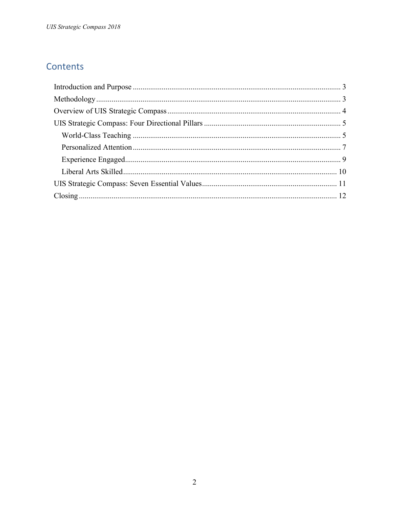# Contents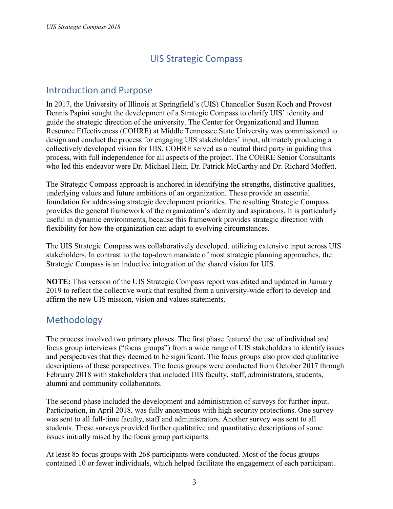# UIS Strategic Compass

# Introduction and Purpose

In 2017, the University of Illinois at Springfield's (UIS) Chancellor Susan Koch and Provost Dennis Papini sought the development of a Strategic Compass to clarify UIS' identity and guide the strategic direction of the university. The Center for Organizational and Human Resource Effectiveness (COHRE) at Middle Tennessee State University was commissioned to design and conduct the process for engaging UIS stakeholders' input, ultimately producing a collectively developed vision for UIS. COHRE served as a neutral third party in guiding this process, with full independence for all aspects of the project. The COHRE Senior Consultants who led this endeavor were Dr. Michael Hein, Dr. Patrick McCarthy and Dr. Richard Moffett.

The Strategic Compass approach is anchored in identifying the strengths, distinctive qualities, underlying values and future ambitions of an organization. These provide an essential foundation for addressing strategic development priorities. The resulting Strategic Compass provides the general framework of the organization's identity and aspirations. It is particularly useful in dynamic environments, because this framework provides strategic direction with flexibility for how the organization can adapt to evolving circumstances.

The UIS Strategic Compass was collaboratively developed, utilizing extensive input across UIS stakeholders. In contrast to the top-down mandate of most strategic planning approaches, the Strategic Compass is an inductive integration of the shared vision for UIS.

**NOTE:** This version of the UIS Strategic Compass report was edited and updated in January 2019 to reflect the collective work that resulted from a university-wide effort to develop and affirm the new UIS mission, vision and values statements.

# <span id="page-2-0"></span>Methodology

The process involved two primary phases. The first phase featured the use of individual and focus group interviews ("focus groups") from a wide range of UIS stakeholders to identify issues and perspectives that they deemed to be significant. The focus groups also provided qualitative descriptions of these perspectives. The focus groups were conducted from October 2017 through February 2018 with stakeholders that included UIS faculty, staff, administrators, students, alumni and community collaborators.

The second phase included the development and administration of surveys for further input. Participation, in April 2018, was fully anonymous with high security protections. One survey was sent to all full-time faculty, staff and administrators. Another survey was sent to all students. These surveys provided further qualitative and quantitative descriptions of some issues initially raised by the focus group participants.

At least 85 focus groups with 268 participants were conducted. Most of the focus groups contained 10 or fewer individuals, which helped facilitate the engagement of each participant.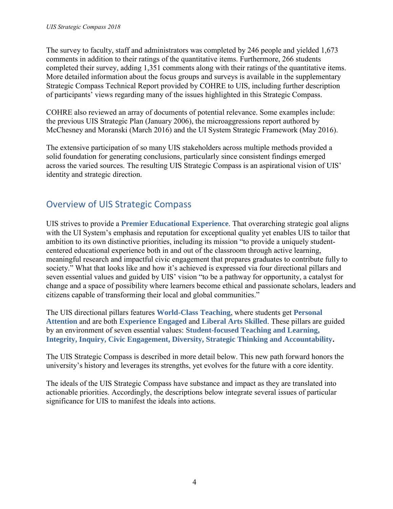The survey to faculty, staff and administrators was completed by 246 people and yielded 1,673 comments in addition to their ratings of the quantitative items. Furthermore, 266 students completed their survey, adding 1,351 comments along with their ratings of the quantitative items. More detailed information about the focus groups and surveys is available in the supplementary Strategic Compass Technical Report provided by COHRE to UIS, including further description of participants' views regarding many of the issues highlighted in this Strategic Compass.

COHRE also reviewed an array of documents of potential relevance. Some examples include: the previous UIS Strategic Plan (January 2006), the microaggressions report authored by McChesney and Moranski (March 2016) and the UI System Strategic Framework (May 2016).

The extensive participation of so many UIS stakeholders across multiple methods provided a solid foundation for generating conclusions, particularly since consistent findings emerged across the varied sources. The resulting UIS Strategic Compass is an aspirational vision of UIS' identity and strategic direction.

# <span id="page-3-0"></span>Overview of UIS Strategic Compass

UIS strives to provide a **Premier Educational Experience**. That overarching strategic goal aligns with the UI System's emphasis and reputation for exceptional quality yet enables UIS to tailor that ambition to its own distinctive priorities, including its mission "to provide a uniquely studentcentered educational experience both in and out of the classroom through active learning, meaningful research and impactful civic engagement that prepares graduates to contribute fully to society." What that looks like and how it's achieved is expressed via four directional pillars and seven essential values and guided by UIS' vision "to be a pathway for opportunity, a catalyst for change and a space of possibility where learners become ethical and passionate scholars, leaders and citizens capable of transforming their local and global communities."

The UIS directional pillars features **World-Class Teaching**, where students get **Personal Attention** and are both **Experience Engaged** and **Liberal Arts Skilled**. These pillars are guided by an environment of seven essential values: **Student-focused Teaching and Learning, Integrity, Inquiry, Civic Engagement, Diversity, Strategic Thinking and Accountability.** 

The UIS Strategic Compass is described in more detail below. This new path forward honors the university's history and leverages its strengths, yet evolves for the future with a core identity.

The ideals of the UIS Strategic Compass have substance and impact as they are translated into actionable priorities. Accordingly, the descriptions below integrate several issues of particular significance for UIS to manifest the ideals into actions.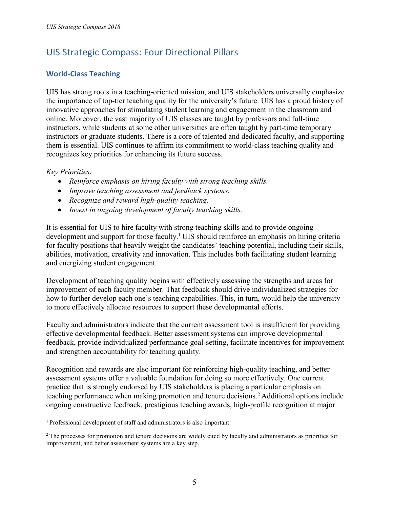# <span id="page-4-0"></span>UIS Strategic Compass: Four Directional Pillars

# <span id="page-4-1"></span>**World-Class Teaching**

UIS has strong roots in a teaching-oriented mission, and UIS stakeholders universally emphasize the importance of top-tier teaching quality for the university's future. UIS has a proud history of innovative approaches for stimulating student learning and engagement in the classroom and online. Moreover, the vast majority of UIS classes are taught by professors and full-time instructors, while students at some other universities are often taught by part-time temporary instructors or graduate students. There is a core of talented and dedicated faculty, and supporting them is essential. UIS continues to affirm its commitment to world-class teaching quality and recognizes key priorities for enhancing its future success.

*Key Priorities:* 

- *Reinforce emphasis on hiring faculty with strong teaching skills.*
- *Improve teaching assessment and feedback systems.*
- *Recognize and reward high-quality teaching.*
- *Invest in ongoing development of faculty teaching skills.*

It is essential for UIS to hire faculty with strong teaching skills and to provide ongoing development and support for those faculty.<sup>1</sup> UIS should reinforce an emphasis on hiring criteria for faculty positions that heavily weight the candidates' teaching potential, including their skills, abilities, motivation, creativity and innovation. This includes both facilitating student learning and energizing student engagement.

Development of teaching quality begins with effectively assessing the strengths and areas for improvement of each faculty member. That feedback should drive individualized strategies for how to further develop each one's teaching capabilities. This, in turn, would help the university to more effectively allocate resources to support these developmental efforts.

Faculty and administrators indicate that the current assessment tool is insufficient for providing effective developmental feedback. Better assessment systems can improve developmental feedback, provide individualized performance goal-setting, facilitate incentives for improvement and strengthen accountability for teaching quality.

Recognition and rewards are also important for reinforcing high-quality teaching, and better assessment systems offer a valuable foundation for doing so more effectively. One current practice that is strongly endorsed by UIS stakeholders is placing a particular emphasis on teaching performance when making promotion and tenure decisions.<sup>2</sup> Additional options include ongoing constructive feedback, prestigious teaching awards, high-profile recognition at major

<sup>1</sup>Professional development of staff and administrators is also important.

<sup>&</sup>lt;sup>2</sup>The processes for promotion and tenure decisions are widely cited by faculty and administrators as priorities for improvement, and better assessment systems are a key step.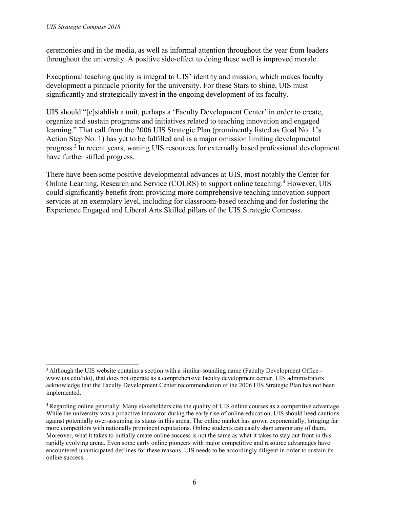ceremonies and in the media, as well as informal attention throughout the year from leaders throughout the university. A positive side-effect to doing these well is improved morale.

Exceptional teaching quality is integral to UIS' identity and mission, which makes faculty development a pinnacle priority for the university. For these Stars to shine, UIS must significantly and strategically invest in the ongoing development of its faculty.

UIS should "[e]stablish a unit, perhaps a 'Faculty Development Center' in order to create, organize and sustain programs and initiatives related to teaching innovation and engaged learning." That call from the 2006 UIS Strategic Plan (prominently listed as Goal No. 1's Action Step No. 1) has yet to be fulfilled and is a major omission limiting developmental progress.<sup>3</sup>In recent years, waning UIS resources for externally based professional development have further stifled progress.

There have been some positive developmental advances at UIS, most notably the Center for Online Learning, Research and Service (COLRS) to support online teaching.<sup>4</sup> However, UIS could significantly benefit from providing more comprehensive teaching innovation support services at an exemplary level, including for classroom-based teaching and for fostering the Experience Engaged and Liberal Arts Skilled pillars of the UIS Strategic Compass.

<sup>&</sup>lt;sup>3</sup> Although the UIS website contains a section with a similar[-](http://www.uis.edu/fdo))sounding name (Faculty Development Office [www.uis.edu/fdo\), t](http://www.uis.edu/fdo))hat does not operate as a comprehensive faculty development center. UIS administrators acknowledge that the Faculty Development Center recommendation of the 2006 UIS Strategic Plan has not been implemented.

<sup>4</sup>Regarding online generally: Many stakeholders cite the quality of UIS online courses as a competitive advantage. While the university was a proactive innovator during the early rise of online education, UIS should heed cautions against potentially over-assuming its status in this arena. The online market has grown exponentially, bringing far more competitors with nationally prominent reputations. Online students can easily shop among any of them. Moreover, what it takes to initially create online success is not the same as what it takes to stay out front in this rapidly evolving arena. Even some early online pioneers with major competitive and resource advantages have encountered unanticipated declines for these reasons. UIS needs to be accordingly diligent in order to sustain its online success.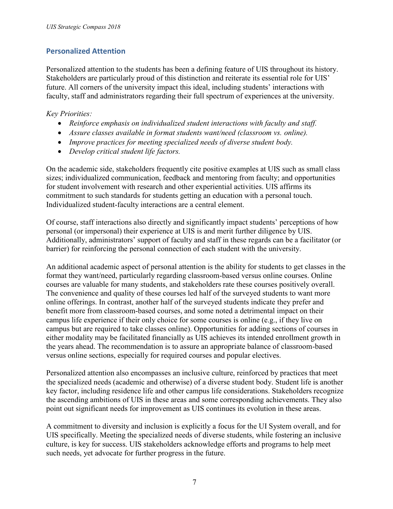# <span id="page-6-0"></span>**Personalized Attention**

Personalized attention to the students has been a defining feature of UIS throughout its history. Stakeholders are particularly proud of this distinction and reiterate its essential role for UIS' future. All corners of the university impact this ideal, including students' interactions with faculty, staff and administrators regarding their full spectrum of experiences at the university.

## *Key Priorities:*

- *Reinforce emphasis on individualized student interactions with faculty and staff.*
- *Assure classes available in format students want/need (classroom vs. online).*
- *Improve practices for meeting specialized needs of diverse student body.*
- *Develop critical student life factors.*

On the academic side, stakeholders frequently cite positive examples at UIS such as small class sizes; individualized communication, feedback and mentoring from faculty; and opportunities for student involvement with research and other experiential activities. UIS affirms its commitment to such standards for students getting an education with a personal touch. Individualized student-faculty interactions are a central element.

Of course, staff interactions also directly and significantly impact students' perceptions of how personal (or impersonal) their experience at UIS is and merit further diligence by UIS. Additionally, administrators' support of faculty and staff in these regards can be a facilitator (or barrier) for reinforcing the personal connection of each student with the university.

An additional academic aspect of personal attention is the ability for students to get classes in the format they want/need, particularly regarding classroom-based versus online courses. Online courses are valuable for many students, and stakeholders rate these courses positively overall. The convenience and quality of these courses led half of the surveyed students to want more online offerings. In contrast, another half of the surveyed students indicate they prefer and benefit more from classroom-based courses, and some noted a detrimental impact on their campus life experience if their only choice for some courses is online (e.g., if they live on campus but are required to take classes online). Opportunities for adding sections of courses in either modality may be facilitated financially as UIS achieves its intended enrollment growth in the years ahead. The recommendation is to assure an appropriate balance of classroom-based versus online sections, especially for required courses and popular electives.

Personalized attention also encompasses an inclusive culture, reinforced by practices that meet the specialized needs (academic and otherwise) of a diverse student body. Student life is another key factor, including residence life and other campus life considerations. Stakeholders recognize the ascending ambitions of UIS in these areas and some corresponding achievements. They also point out significant needs for improvement as UIS continues its evolution in these areas.

A commitment to diversity and inclusion is explicitly a focus for the UI System overall, and for UIS specifically. Meeting the specialized needs of diverse students, while fostering an inclusive culture, is key for success. UIS stakeholders acknowledge efforts and programs to help meet such needs, yet advocate for further progress in the future.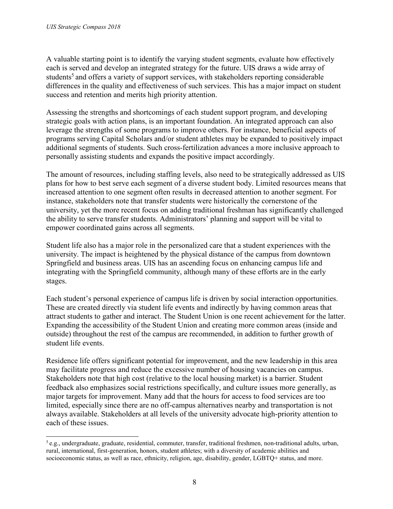A valuable starting point is to identify the varying student segments, evaluate how effectively each is served and develop an integrated strategy for the future. UIS draws a wide array of students<sup>5</sup> and offers a variety of support services, with stakeholders reporting considerable differences in the quality and effectiveness of such services. This has a major impact on student success and retention and merits high priority attention.

Assessing the strengths and shortcomings of each student support program, and developing strategic goals with action plans, is an important foundation. An integrated approach can also leverage the strengths of some programs to improve others. For instance, beneficial aspects of programs serving Capital Scholars and/or student athletes may be expanded to positively impact additional segments of students. Such cross-fertilization advances a more inclusive approach to personally assisting students and expands the positive impact accordingly.

The amount of resources, including staffing levels, also need to be strategically addressed as UIS plans for how to best serve each segment of a diverse student body. Limited resources means that increased attention to one segment often results in decreased attention to another segment. For instance, stakeholders note that transfer students were historically the cornerstone of the university, yet the more recent focus on adding traditional freshman has significantly challenged the ability to serve transfer students. Administrators' planning and support will be vital to empower coordinated gains across all segments.

Student life also has a major role in the personalized care that a student experiences with the university. The impact is heightened by the physical distance of the campus from downtown Springfield and business areas. UIS has an ascending focus on enhancing campus life and integrating with the Springfield community, although many of these efforts are in the early stages.

Each student's personal experience of campus life is driven by social interaction opportunities. These are created directly via student life events and indirectly by having common areas that attract students to gather and interact. The Student Union is one recent achievement for the latter. Expanding the accessibility of the Student Union and creating more common areas (inside and outside) throughout the rest of the campus are recommended, in addition to further growth of student life events.

Residence life offers significant potential for improvement, and the new leadership in this area may facilitate progress and reduce the excessive number of housing vacancies on campus. Stakeholders note that high cost (relative to the local housing market) is a barrier. Student feedback also emphasizes social restrictions specifically, and culture issues more generally, as major targets for improvement. Many add that the hours for access to food services are too limited, especially since there are no off-campus alternatives nearby and transportation is not always available. Stakeholders at all levels of the university advocate high-priority attention to each of these issues.

 $5$ e.g., undergraduate, graduate, residential, commuter, transfer, traditional freshmen, non-traditional adults, urban, rural, international, first-generation, honors, student athletes; with a diversity of academic abilities and socioeconomic status, as well as race, ethnicity, religion, age, disability, gender, LGBTQ+ status, and more.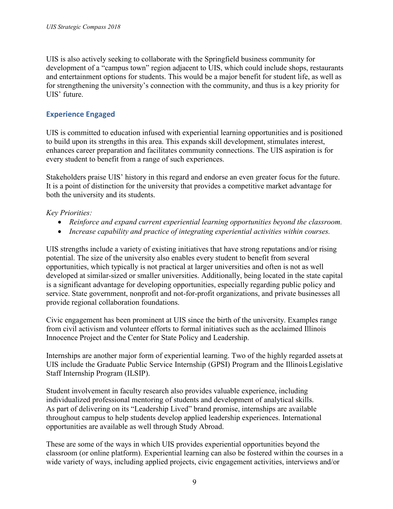UIS is also actively seeking to collaborate with the Springfield business community for development of a "campus town" region adjacent to UIS, which could include shops, restaurants and entertainment options for students. This would be a major benefit for student life, as well as for strengthening the university's connection with the community, and thus is a key priority for UIS' future.

## <span id="page-8-0"></span>**Experience Engaged**

UIS is committed to education infused with experiential learning opportunities and is positioned to build upon its strengths in this area. This expands skill development, stimulates interest, enhances career preparation and facilitates community connections. The UIS aspiration is for every student to benefit from a range of such experiences.

Stakeholders praise UIS' history in this regard and endorse an even greater focus for the future. It is a point of distinction for the university that provides a competitive market advantage for both the university and its students.

## *Key Priorities:*

- *Reinforce and expand current experiential learning opportunities beyond the classroom.*
- *Increase capability and practice of integrating experiential activities within courses.*

UIS strengths include a variety of existing initiatives that have strong reputations and/or rising potential. The size of the university also enables every student to benefit from several opportunities, which typically is not practical at larger universities and often is not as well developed at similar-sized or smaller universities. Additionally, being located in the state capital is a significant advantage for developing opportunities, especially regarding public policy and service. State government, nonprofit and not-for-profit organizations, and private businesses all provide regional collaboration foundations.

Civic engagement has been prominent at UIS since the birth of the university. Examples range from civil activism and volunteer efforts to formal initiatives such as the acclaimed Illinois Innocence Project and the Center for State Policy and Leadership.

Internships are another major form of experiential learning. Two of the highly regarded assets at UIS include the Graduate Public Service Internship (GPSI) Program and the Illinois Legislative Staff Internship Program (ILSIP).

Student involvement in faculty research also provides valuable experience, including individualized professional mentoring of students and development of analytical skills. As part of delivering on its "Leadership Lived" brand promise, internships are available throughout campus to help students develop applied leadership experiences. International opportunities are available as well through Study Abroad.

These are some of the ways in which UIS provides experiential opportunities beyond the classroom (or online platform). Experiential learning can also be fostered within the courses in a wide variety of ways, including applied projects, civic engagement activities, interviews and/or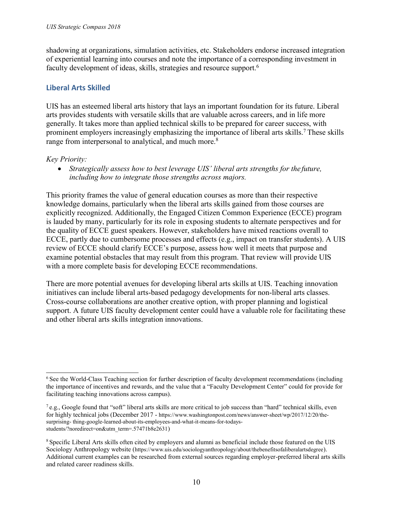shadowing at organizations, simulation activities, etc. Stakeholders endorse increased integration of experiential learning into courses and note the importance of a corresponding investment in faculty development of ideas, skills, strategies and resource support.<sup>6</sup>

# <span id="page-9-0"></span>**Liberal Arts Skilled**

UIS has an esteemed liberal arts history that lays an important foundation for its future. Liberal arts provides students with versatile skills that are valuable across careers, and in life more generally. It takes more than applied technical skills to be prepared for career success, with prominent employers increasingly emphasizing the importance of liberal arts skills.<sup>7</sup> These skills range from interpersonal to analytical, and much more.<sup>8</sup>

## *Key Priority:*

 *Strategically assess how to best leverage UIS' liberal arts strengths for the future, including how to integrate those strengths across majors.*

This priority frames the value of general education courses as more than their respective knowledge domains, particularly when the liberal arts skills gained from those courses are explicitly recognized. Additionally, the Engaged Citizen Common Experience (ECCE) program is lauded by many, particularly for its role in exposing students to alternate perspectives and for the quality of ECCE guest speakers. However, stakeholders have mixed reactions overall to ECCE, partly due to cumbersome processes and effects (e.g., impact on transfer students). A UIS review of ECCE should clarify ECCE's purpose, assess how well it meets that purpose and examine potential obstacles that may result from this program. That review will provide UIS with a more complete basis for developing ECCE recommendations.

There are more potential avenues for developing liberal arts skills at UIS. Teaching innovation initiatives can include liberal arts-based pedagogy developments for non-liberal arts classes. Cross-course collaborations are another creative option, with proper planning and logistical support. A future UIS faculty development center could have a valuable role for facilitating these and other liberal arts skills integration innovations.

<sup>&</sup>lt;sup>6</sup>See the World-Class Teaching section for further description of faculty development recommendations (including the importance of incentives and rewards, and the value that a "Faculty Development Center" could for provide for facilitating teaching innovations across campus).

 $^7$ e.g., Google found that "soft" liberal arts skills are more critical to job success than "hard" technical skills, even for highly technical jobs (December 2017 - https:/[/www.washingtonpost.com/news/answer-sheet/wp/2017/12/20/the](http://www.washingtonpost.com/news/answer-sheet/wp/2017/12/20/the-surprising-)[surprising-](http://www.washingtonpost.com/news/answer-sheet/wp/2017/12/20/the-surprising-) thing-google-learned-about-its-employees-and-what-it-means-for-todaysstudents/?noredirect=on&utm\_term=.57471b8e2631)

<sup>8</sup>Specific Liberal Arts skills often cited by employers and alumni as beneficial include those featured on the UIS Sociology Anthropology website (https:/[/www.uis.edu/sociologyanthropology/about/thebenefitsofaliberalartsdegree](http://www.uis.edu/sociologyanthropology/about/thebenefitsofaliberalartsdegree))). Additional current examples can be researched from external sources regarding employer-preferred liberal arts skills and related career readiness skills.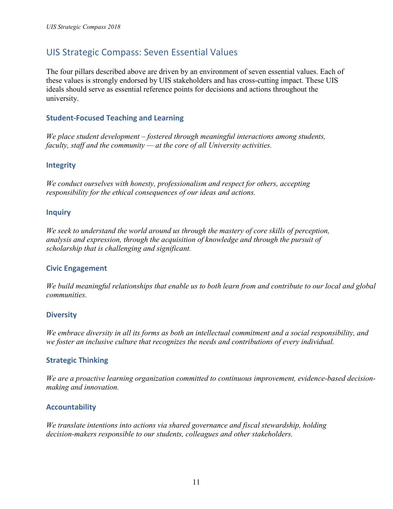# <span id="page-10-0"></span>UIS Strategic Compass: Seven Essential Values

The four pillars described above are driven by an environment of seven essential values. Each of these values is strongly endorsed by UIS stakeholders and has cross-cutting impact. These UIS ideals should serve as essential reference points for decisions and actions throughout the university.

## **Student-Focused Teaching and Learning**

*We place student development – fostered through meaningful interactions among students, faculty, staff and the community — at the core of all University activities.* 

#### **Integrity**

*We conduct ourselves with honesty, professionalism and respect for others, accepting responsibility for the ethical consequences of our ideas and actions.* 

#### **Inquiry**

*We seek to understand the world around us through the mastery of core skills of perception, analysis and expression, through the acquisition of knowledge and through the pursuit of scholarship that is challenging and significant.* 

#### **Civic Engagement**

*We build meaningful relationships that enable us to both learn from and contribute to our local and global communities.*

#### **Diversity**

*We embrace diversity in all its forms as both an intellectual commitment and a social responsibility, and we foster an inclusive culture that recognizes the needs and contributions of every individual.*

## **Strategic Thinking**

*We are a proactive learning organization committed to continuous improvement, evidence-based decisionmaking and innovation.*

## **Accountability**

<span id="page-10-1"></span>*We translate intentions into actions via shared governance and fiscal stewardship, holding decision-makers responsible to our students, colleagues and other stakeholders.*